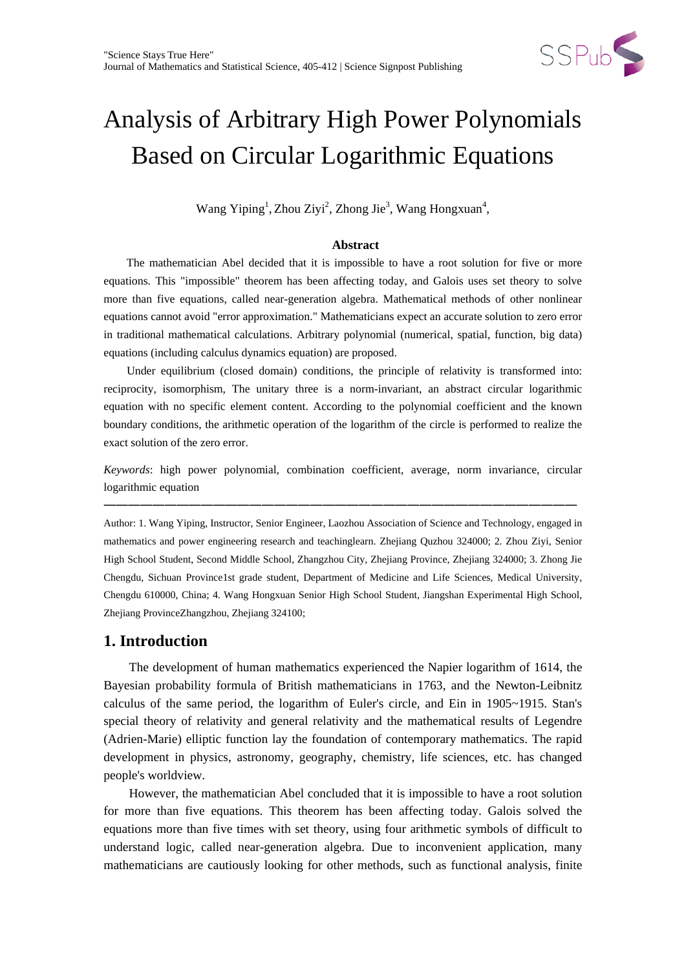

# Analysis of Arbitrary High Power Polynomials Based on Circular Logarithmic Equations

Wang Yiping<sup>1</sup>, Zhou Ziyi<sup>2</sup>, Zhong Jie<sup>3</sup>, Wang Hongxuan<sup>4</sup>,

### **Abstract**

The mathematician Abel decided that it is impossible to have a root solution for five or more equations. This "impossible" theorem has been affecting today, and Galois uses set theory to solve more than five equations, called near-generation algebra. Mathematical methods of other nonlinear equations cannot avoid "error approximation." Mathematicians expect an accurate solution to zero error in traditional mathematical calculations. Arbitrary polynomial (numerical, spatial, function, big data) equations (including calculus dynamics equation) are proposed.

 Under equilibrium (closed domain) conditions, the principle of relativity is transformed into: reciprocity, isomorphism, The unitary three is a norm-invariant, an abstract circular logarithmic equation with no specific element content. According to the polynomial coefficient and the known boundary conditions, the arithmetic operation of the logarithm of the circle is performed to realize the exact solution of the zero error.

*Keywords*: high power polynomial, combination coefficient, average, norm invariance, circular logarithmic equation

———————————————————————————————————————

Author: 1. Wang Yiping, Instructor, Senior Engineer, Laozhou Association of Science and Technology, engaged in mathematics and power engineering research and teachinglearn. Zhejiang Quzhou 324000; 2. Zhou Ziyi, Senior High School Student, Second Middle School, Zhangzhou City, Zhejiang Province, Zhejiang 324000; 3. Zhong Jie Chengdu, Sichuan Province1st grade student, Department of Medicine and Life Sciences, Medical University, Chengdu 610000, China; 4. Wang Hongxuan Senior High School Student, Jiangshan Experimental High School, Zhejiang ProvinceZhangzhou, Zhejiang 324100;

# **1. Introduction**

The development of human mathematics experienced the Napier logarithm of 1614, the Bayesian probability formula of British mathematicians in 1763, and the Newton-Leibnitz calculus of the same period, the logarithm of Euler's circle, and Ein in 1905~1915. Stan's special theory of relativity and general relativity and the mathematical results of Legendre (Adrien-Marie) elliptic function lay the foundation of contemporary mathematics. The rapid development in physics, astronomy, geography, chemistry, life sciences, etc. has changed people's worldview.

However, the mathematician Abel concluded that it is impossible to have a root solution for more than five equations. This theorem has been affecting today. Galois solved the equations more than five times with set theory, using four arithmetic symbols of difficult to understand logic, called near-generation algebra. Due to inconvenient application, many mathematicians are cautiously looking for other methods, such as functional analysis, finite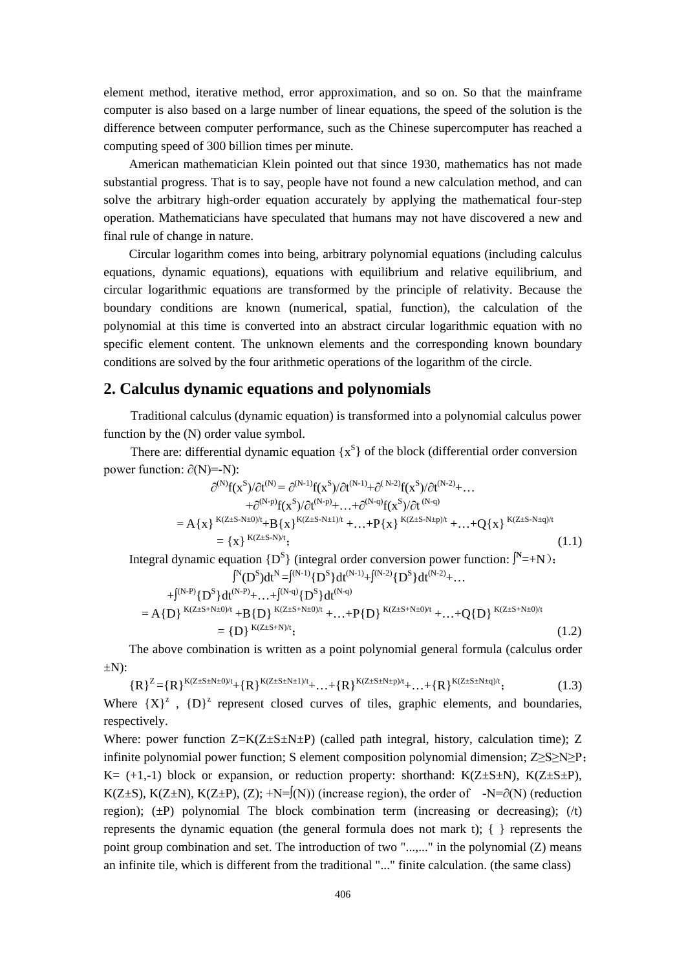element method, iterative method, error approximation, and so on. So that the mainframe computer is also based on a large number of linear equations, the speed of the solution is the difference between computer performance, such as the Chinese supercomputer has reached a computing speed of 300 billion times per minute.

American mathematician Klein pointed out that since 1930, mathematics has not made substantial progress. That is to say, people have not found a new calculation method, and can solve the arbitrary high-order equation accurately by applying the mathematical four-step operation. Mathematicians have speculated that humans may not have discovered a new and final rule of change in nature.

Circular logarithm comes into being, arbitrary polynomial equations (including calculus equations, dynamic equations), equations with equilibrium and relative equilibrium, and circular logarithmic equations are transformed by the principle of relativity. Because the boundary conditions are known (numerical, spatial, function), the calculation of the polynomial at this time is converted into an abstract circular logarithmic equation with no specific element content. The unknown elements and the corresponding known boundary conditions are solved by the four arithmetic operations of the logarithm of the circle.

# **2. Calculus dynamic equations and polynomials**

Traditional calculus (dynamic equation) is transformed into a polynomial calculus power function by the (N) order value symbol.

There are: differential dynamic equation  $\{x^S\}$  of the block (differential order conversion power function:  $\partial(N) = N$ :

$$
\partial^{(N)}f(x^{S})/\partial t^{(N)} = \partial^{(N-1)}f(x^{S})/\partial t^{(N-1)} + \partial^{(N-2)}f(x^{S})/\partial t^{(N-2)} + \dots \n+ \partial^{(N-p)}f(x^{S})/\partial t^{(N-p)} + \dots + \partial^{(N-q)}f(x^{S})/\partial t^{(N-q)} \n= A\{x\}^{K(Z\pm S-N\pm 0)/t} + B\{x\}^{K(Z\pm S-N\pm 1)/t} + \dots + P\{x\}^{K(Z\pm S-N\pm p)/t} + \dots + Q\{x\}^{K(Z\pm S-N\pm q)/t} \n= \{x\}^{K(Z\pm S-N)/t};
$$
\n(1.1)

Integral dynamic equation  $\{D^S\}$  (integral order conversion power function:  $\tilde{N}$ =+N):  $\int^N(D^S)dt^N = \int^{(N-1)} {D^S} dt^{(N-1)} + \int^{(N-2)} {D^S} dt^{(N-2)} + ...$ 

$$
+ \int^{(N-P)} \{D^{S}\} dt^{(N-P)} + \dots + \int^{(N-q)} \{D^{S}\} dt^{(N-q)} = A\{D\}^{K(Z \pm S + N \pm 0)/t} + B\{D\}^{K(Z \pm S + N \pm 0)/t} + \dots + P\{D\}^{K(Z \pm S + N \pm 0)/t} + \dots + Q\{D\}^{K(Z \pm S + N \pm 0)/t} = \{D\}^{K(Z \pm S + N)/t};
$$
(1.2)

 The above combination is written as a point polynomial general formula (calculus order  $\pm N$ ):

 ${R}^{Z}={R}^{K(Z\pm S\pm N\pm 0)/t}+{R}^{K(Z\pm S\pm N\pm 1)/t}+...+{R}^{K(Z\pm S\pm N\pm p)/t}+...+{R}^{K(Z\pm S\pm N\pm q)/t};$  (1.3)

Where  ${X}^2$ ,  ${D}^2$  represent closed curves of tiles, graphic elements, and boundaries, respectively.

Where: power function  $Z=K(Z+S+N+P)$  (called path integral, history, calculation time); Z infinite polynomial power function; S element composition polynomial dimension;  $Z \ge S \ge N \ge P$ ; K=  $(+1,-1)$  block or expansion, or reduction property: shorthand: K(Z $\pm$ S $\pm$ N), K(Z $\pm$ S $\pm$ P), K(Z±S), K(Z±N), K(Z±P), (Z); +N= $f(N)$ ) (increase region), the order of -N= $\partial(N)$  (reduction region);  $(\pm P)$  polynomial The block combination term (increasing or decreasing); (/t) represents the dynamic equation (the general formula does not mark t);  $\{\}$  represents the point group combination and set. The introduction of two "...,..." in the polynomial (Z) means an infinite tile, which is different from the traditional "..." finite calculation. (the same class)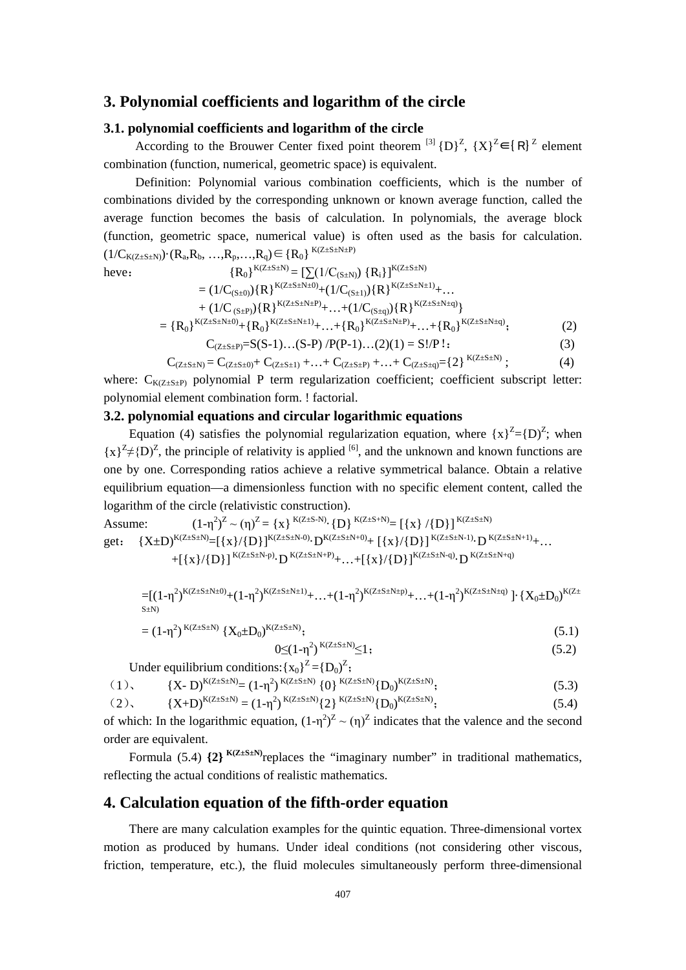## **3. Polynomial coefficients and logarithm of the circle**

# **3.1. polynomial coefficients and logarithm of the circle**

According to the Brouwer Center fixed point theorem <sup>[3]</sup>  ${D}^2$ ,  ${X}^2 \in {R}^2$  element combination (function, numerical, geometric space) is equivalent.

 Definition: Polynomial various combination coefficients, which is the number of combinations divided by the corresponding unknown or known average function, called the average function becomes the basis of calculation. In polynomials, the average block (function, geometric space, numerical value) is often used as the basis for calculation.  $(1/C_{K(Z \pm S \pm N)}) \cdot (R_a, R_b, ..., R_p, ..., R_a) \in \{R_0\}^{K(Z \pm S \pm N \pm P)}$ 

have:

\n
$$
\{R_0\}^{K(Z \pm S \pm N)} = \left[\sum (1/C_{(S \pm N)}) \{R_i\}\right]^{K(Z \pm S \pm N)}
$$
\n
$$
= (1/C_{(S \pm 0)}) \{R\}^{K(Z \pm S \pm N \pm 0)} + (1/C_{(S \pm 1)}) \{R\}^{K(Z \pm S \pm N \pm 1)} + \dots
$$
\n
$$
+ (1/C_{(S \pm P)}) \{R\}^{K(Z \pm S \pm N \pm P)} + \dots + (1/C_{(S \pm q)}) \{R\}^{K(Z \pm S \pm N \pm q)}\}
$$
\n
$$
= \{R_0\}^{K(Z \pm S \pm N \pm 0)} + \{R_0\}^{K(Z \pm S \pm N \pm 1)} + \dots + \{R_0\}^{K(Z \pm S \pm N \pm P)} + \dots + \{R_0\}^{K(Z \pm S \pm N \pm q)};
$$
\n
$$
C_{(Z \pm S \pm P)} = S(S - 1) \dots (S - P) / P(P - 1) \dots (2)(1) = S!/P!;
$$
\n
$$
(3)
$$

$$
C_{(\text{Z} \pm \text{S} \pm \text{N})} = C_{(\text{Z} \pm \text{S} \pm 0)} + C_{(\text{Z} \pm \text{S} \pm 1)} + \ldots + C_{(\text{Z} \pm \text{S} \pm \text{P})} + \ldots + C_{(\text{Z} \pm \text{S} \pm \text{q})} = \{2\}^{\ K(\text{Z} \pm \text{S} \pm \text{N})} \ ; \tag{4}
$$

where:  $C_{K(Z \pm S \pm P)}$  polynomial P term regularization coefficient; coefficient subscript letter: polynomial element combination form. ! factorial.

#### **3.2. polynomial equations and circular logarithmic equations**

Equation (4) satisfies the polynomial regularization equation, where  ${x}^2 = {D^2}$ ; when  ${x}^2 \neq {D}^2$ , the principle of relativity is applied <sup>[6]</sup>, and the unknown and known functions are one by one. Corresponding ratios achieve a relative symmetrical balance. Obtain a relative equilibrium equation—a dimensionless function with no specific element content, called the logarithm of the circle (relativistic construction).

Assume: 
$$
(1-\eta^2)^Z \sim (\eta)^Z = \{x\}^{K(Z\pm S+N)} \cdot \{D\}^{K(Z\pm S+N)} = [\{x\} / \{D\}]^{K(Z\pm S+N)}
$$
  
get:  $\{X\pm D\}^{K(Z\pm S+N)} = [\{x\} / \{D\}]^{K(Z\pm S+N+0)} \cdot D^{K(Z\pm S\pm N+0)} + [\{x\} / \{D\}]^{K(Z\pm S\pm N-1)} \cdot D^{K(Z\pm S\pm N+1)} + \dots + [\{x\} / \{D\}]^{K(Z\pm S\pm N+q)} \cdot D^{K(Z\pm S\pm N+q)}$ 

$$
= [(1-\eta^2)^{K(Z\pm S\pm N\pm 0)}+(1-\eta^2)^{K(Z\pm S\pm N\pm 1)}+\ldots+(1-\eta^2)^{K(Z\pm S\pm N\pm p)}+\ldots+(1-\eta^2)^{K(Z\pm S\pm N\pm q)}] \cdot \{X_0\pm D_0\}^{K(Z\pm S\pm N\pm 1)}.
$$

$$
= (1 - \eta^2)^{K(Z \pm S \pm N)} \{X_0 \pm D_0\}^{K(Z \pm S \pm N)}; \tag{5.1}
$$

$$
0 \leq (1 - \eta^2)^{K(Z \pm S \pm N)} \leq 1;
$$
\n
$$
(5.2)
$$

Under equilibrium conditions:  ${x_0}^Z = {D_0}^Z$ ;

(1), 
$$
{X - D}^{K(Z \pm S \pm N)} = (1 - \eta^2)^{K(Z \pm S \pm N)} \{0\}^{K(Z \pm S \pm N)} \{D_0\}^{K(Z \pm S \pm N)};
$$
 (5.3)

$$
(2), \qquad \{X+D\}^{K(Z\pm S\pm N)} = (1-\eta^2)^{K(Z\pm S\pm N)} \{2\}^{K(Z\pm S\pm N)} \{D_0\}^{K(Z\pm S\pm N)}; \tag{5.4}
$$

of which: In the logarithmic equation,  $(1-\eta^2)^Z \sim (\eta)^Z$  indicates that the valence and the second order are equivalent.

Formula (5.4)  $\{2\}^{K(Z \pm S \pm N)}$ replaces the "imaginary number" in traditional mathematics, reflecting the actual conditions of realistic mathematics.

## **4. Calculation equation of the fifth-order equation**

There are many calculation examples for the quintic equation. Three-dimensional vortex motion as produced by humans. Under ideal conditions (not considering other viscous, friction, temperature, etc.), the fluid molecules simultaneously perform three-dimensional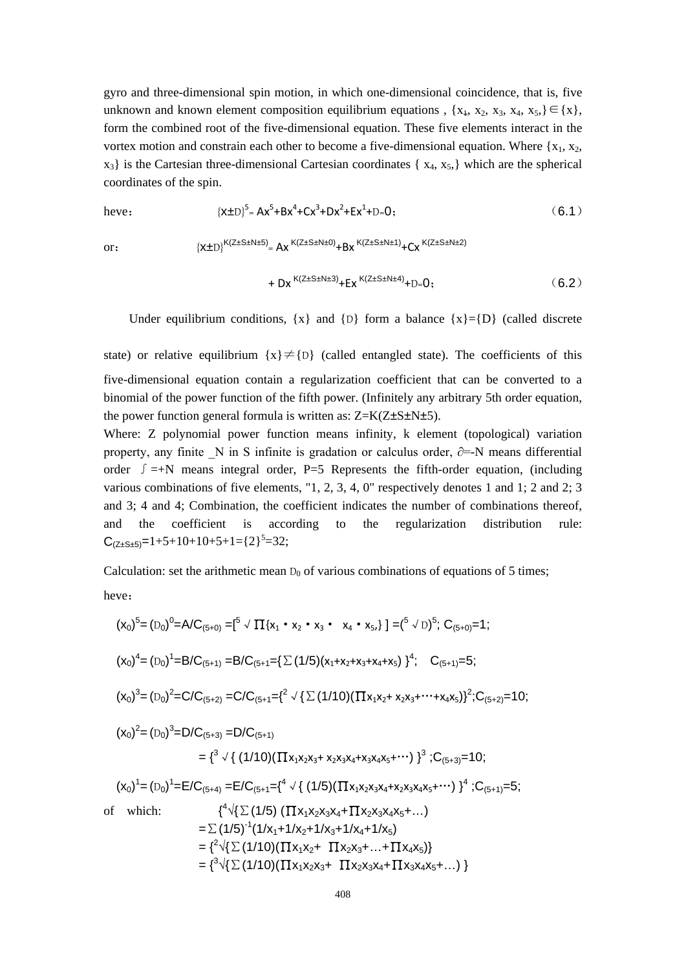gyro and three-dimensional spin motion, in which one-dimensional coincidence, that is, five unknown and known element composition equilibrium equations ,  $\{x_1, x_2, x_3, x_4, x_5, \} \in \{x\}$ , form the combined root of the five-dimensional equation. These five elements interact in the vortex motion and constrain each other to become a five-dimensional equation. Where  $\{x_1, x_2,$  $x_3$  is the Cartesian three-dimensional Cartesian coordinates { $x_4, x_5$ } which are the spherical coordinates of the spin.

$$
[x \pm D]^{5} = Ax^{5} + Bx^{4} + Cx^{3} + Dx^{2} + Ex^{1} + D = 0;
$$
 (6.1)

or:  ${X\pm D}^{K(Z\pm S\pm N\pm 5)} = Ax^{K(Z\pm S\pm N\pm 0)} + Bx^{K(Z\pm S\pm N\pm 1)} + Cx^{K(Z\pm S\pm N\pm 2)}$ 

$$
+ \, \, Dx \, {}^{K(Z \pm S \pm N \pm 3)} +Ex \, {}^{K(Z \pm S \pm N \pm 4)} + D = 0 \, ; \qquad \qquad (6.2)
$$

Under equilibrium conditions,  $\{x\}$  and  $\{D\}$  form a balance  $\{x\}=\{D\}$  (called discrete

state) or relative equilibrium  $\{x\} \neq \{D\}$  (called entangled state). The coefficients of this five-dimensional equation contain a regularization coefficient that can be converted to a binomial of the power function of the fifth power. (Infinitely any arbitrary 5th order equation, the power function general formula is written as:  $Z=K(Z\pm S\pm N\pm 5)$ .

Where: Z polynomial power function means infinity, k element (topological) variation property, any finite N in S infinite is gradation or calculus order,  $\partial$ =-N means differential order  $\int =+N$  means integral order, P=5 Represents the fifth-order equation, (including various combinations of five elements, "1, 2, 3, 4, 0" respectively denotes 1 and 1; 2 and 2; 3 and 3; 4 and 4; Combination, the coefficient indicates the number of combinations thereof, and the coefficient is according to the regularization distribution rule:  $C_{(Z\pm S\pm 5)}=1+5+10+10+5+1=$ {2}<sup>5</sup>=32;

Calculation: set the arithmetic mean  $D_0$  of various combinations of equations of 5 times;

heve:

$$
(x_0)^5 = (D_0)^0 = A/C_{(5+0)} = [^5 \sqrt{\Pi}\{x_1 \cdot x_2 \cdot x_3 \cdot x_4 \cdot x_5\}] = [^5 \sqrt{\Pi}\{y_1 \cdot y_2 \cdot y_3 \cdot x_4 \cdot x_5\}] = (^5 \sqrt{\Pi}\{y_1 \cdot y_2 \cdot y_3 \cdot x_4 \cdot x_5\}) = (^5 \sqrt{\Pi}\{y_1 \cdot y_2 \cdot y_3 \cdot x_4 \cdot x_5\}) = (^5 \sqrt{\Pi}\{y_1 \cdot y_2 \cdot y_3 \cdot x_4 \cdot x_5\}) = (D_0)^2 = C/C_{(5+1)} = C/C_{(5+1)} = \{^2 \sqrt{\{\sum (1/10)(\prod x_1x_2 + x_2x_3 + \cdots + x_4x_5)\}}^2}; C_{(5+2)} = 10;
$$
\n
$$
(x_0)^2 = (D_0)^3 = D/C_{(5+3)} = D/C_{(5+1)}
$$
\n
$$
= \{^3 \sqrt{\{(1/10)(\prod x_1x_2x_3 + x_2x_3x_4 + x_3x_4x_5 + \cdots)\}}^3}; C_{(5+3)} = 10;
$$
\n
$$
(x_0)^1 = (D_0)^1 = E/C_{(5+4)} = E/C_{(5+1)} = \{^4 \sqrt{\{(1/5)(\prod x_1x_2x_3x_4 + x_2x_3x_4x_5 + \cdots)\}}^4}; C_{(5+1)} = 5;
$$
\n
$$
= \{^4 \sqrt{\{\sum (1/5)(\prod x_1x_2x_3x_4 + \prod x_2x_3x_4x_5 + \cdots)\}}^4}; C_{(5+1)} = 5;
$$
\n
$$
= \sum (1/5)^{-1}(1/x_1 + 1/x_2 + 1/x_3 + 1/x_4 + 1/x_5)
$$
\n
$$
= \{^2 \sqrt{\{\sum (1/10)(\prod x_1x_2x_3 + \cdots + \prod x_4x_5)\}}^2}
$$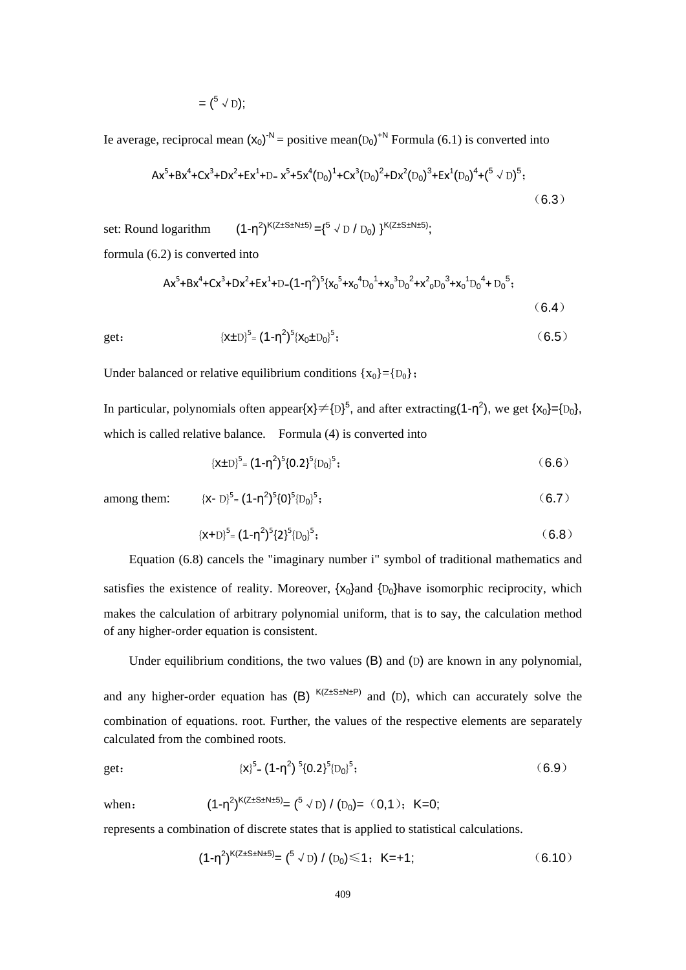$$
= \left(^{5} \vee D\right);
$$

Ie average, reciprocal mean  $(x_0)^{-N}$  = positive mean( $D_0$ <sup>+N</sup> Formula (6.1) is converted into

$$
Ax^5 + Bx^4 + Cx^3 + Dx^2 + Ex^1 + D = x^5 + 5x^4(D_0)^1 + Cx^3(D_0)^2 + Dx^2(D_0)^3 + Ex^1(D_0)^4 + {^{(5 \sqrt{D_0})}}^5;
$$
\n(6.3)

set: Round logarithm  $\big)^{K(Z\pm S\pm N\pm 5)}$  = {<sup>5</sup>  $\checkmark$  D / D<sub>0</sub>) }<sup>K(Z±S±N±5)</sup>; formula (6.2) is converted into

$$
Ax^5 + Bx^4 + Cx^3 + Dx^2 + Ex^4 + D = (1 - \eta^2)^5 \{x_0^5 + x_0^4 D_0^1 + x_0^3 D_0^2 + x^2 {}_0D_0^3 + x_0^1 D_0^4 + D_0^5; \tag{6.4}
$$

get: 
$$
{\{x \pm D\}}^5 = (1 - \eta^2)^5 {\{x_0 \pm D_0\}}^5;
$$
 (6.5)

Under balanced or relative equilibrium conditions  $\{x_0\} = \{D_0\}$ ;

In particular, polynomials often appear $\{x\} \neq {\{D\}}^5$ , and after extracting(1- $\eta^2$ ), we get  $\{x_0\} = {\{D_0\}}$ , which is called relative balance. Formula (4) is converted into

$$
{\{\mathbf{X} \pm \mathbf{D}\}}^5 = (1 - \eta^2)^5 \{0.2\}^5 \{0_0\}^5; \tag{6.6}
$$

among them: 
$$
{(x - D)}^5 = (1 - \eta^2)^5 \{0\}^5 [D_0]^5;
$$
 (6.7)

$$
\{x+D\}^5 = (1-\eta^2)^5 \{2\}^5 \{D_0\}^5; \tag{6.8}
$$

Equation (6.8) cancels the "imaginary number i" symbol of traditional mathematics and satisfies the existence of reality. Moreover,  $\{x_0\}$  and  $\{D_0\}$  have isomorphic reciprocity, which makes the calculation of arbitrary polynomial uniform, that is to say, the calculation method of any higher-order equation is consistent.

Under equilibrium conditions, the two values (B) and (D) are known in any polynomial,

and any higher-order equation has  $(B)$  <sup>K(Z±S±N±P)</sup> and  $(D)$ , which can accurately solve the combination of equations. root. Further, the values of the respective elements are separately calculated from the combined roots.

get: 
$$
{(x)^5} = (1-\eta^2)^5{0.2}^5{D_0}^5;
$$
 (6.9)

when: 
$$
(1-\eta^2)^{K(Z\pm S\pm N\pm 5)} = {5 \sqrt{D}} / (D_0) = (0,1); K=0;
$$

represents a combination of discrete states that is applied to statistical calculations.

$$
(1-\eta^2)^{K(Z\pm S\pm N\pm 5)} = {5 \sqrt{D}} / (D_0) \le 1; K=+1; \qquad (6.10)
$$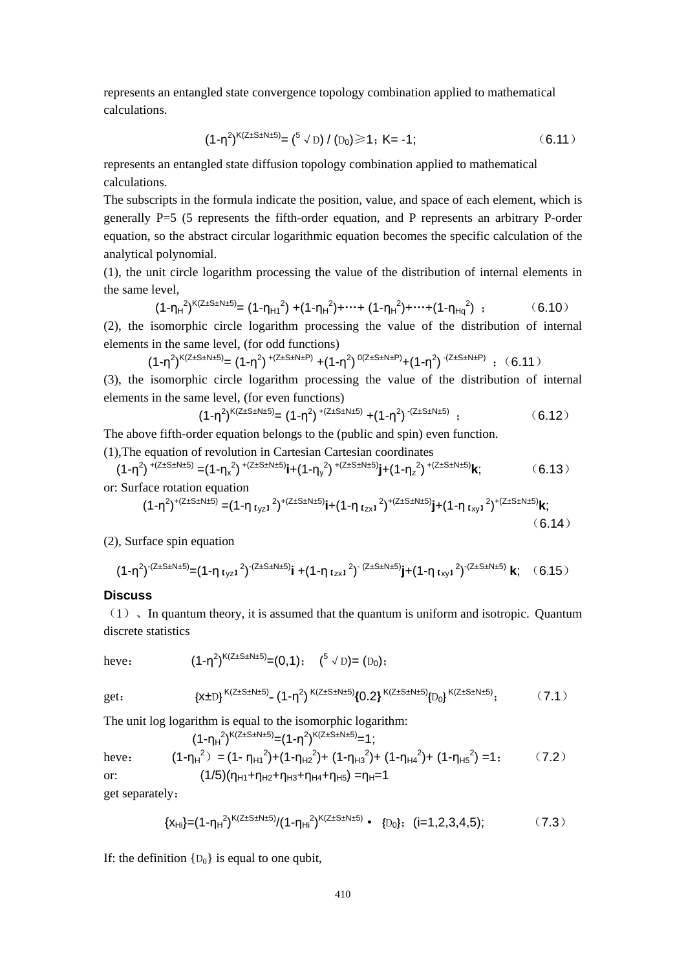represents an entangled state convergence topology combination applied to mathematical calculations.

$$
(1-\eta^2)^{K(Z\pm S\pm N\pm 5)} = {5 \sqrt{D}} / (D_0) \ge 1; K = -1; \tag{6.11}
$$

represents an entangled state diffusion topology combination applied to mathematical calculations.

The subscripts in the formula indicate the position, value, and space of each element, which is generally P=5 (5 represents the fifth-order equation, and P represents an arbitrary P-order equation, so the abstract circular logarithmic equation becomes the specific calculation of the analytical polynomial.

(1), the unit circle logarithm processing the value of the distribution of internal elements in the same level,

$$
(1-\eta_H^2)^{K(Z\pm S\pm N\pm 5)} = (1-\eta_{H1}^2) + (1-\eta_H^2) + \dots + (1-\eta_H^2) + \dots + (1-\eta_{Hq}^2) ; \qquad (6.10)
$$

(2), the isomorphic circle logarithm processing the value of the distribution of internal elements in the same level, (for odd functions)

$$
(1 - \eta^2)^{K(Z \pm S \pm N \pm 5)} = (1 - \eta^2)^{+(Z \pm S \pm N \pm P)} + (1 - \eta^2)^{0(Z \pm S \pm N \pm P)} + (1 - \eta^2)^{-(Z \pm S \pm N \pm P)}\;\; ; \;\; (6.11)
$$

(3), the isomorphic circle logarithm processing the value of the distribution of internal elements in the same level, (for even functions)

$$
(1-\eta^2)^{K(Z\pm S\pm N\pm 5)} = (1-\eta^2)^{+(Z\pm S\pm N\pm 5)} + (1-\eta^2)^{-(Z\pm S\pm N\pm 5)} \tag{6.12}
$$

The above fifth-order equation belongs to the (public and spin) even function.

(1),The equation of revolution in Cartesian Cartesian coordinates

$$
(1-\eta^2)^{+(Z\pm S\pm N\pm 5)} = (1-\eta_x^2)^{+(Z\pm S\pm N\pm 5)}i + (1-\eta_y^2)^{+(Z\pm S\pm N\pm 5)}j + (1-\eta_z^2)^{+(Z\pm S\pm N\pm 5)}k;
$$
 (6.13)

$$
(1-\eta^2)^{+(Z\pm S\pm N\pm 5)} = (1-\eta_{Iyz1}^2)^{+(Z\pm S\pm N\pm 5)}i + (1-\eta_{Izx1}^2)^{+(Z\pm S\pm N\pm 5)}j + (1-\eta_{Ixy1}^2)^{+(Z\pm S\pm N\pm 5)}k; \tag{6.14}
$$

(2), Surface spin equation

$$
(1-\eta^2)^{-(Z\pm S\pm N\pm 5)} = (1-\eta_{\text{Iyz1}}^2)^{-(Z\pm S\pm N\pm 5)}i + (1-\eta_{\text{Izx1}}^2)^{-(Z\pm S\pm N\pm 5)}j + (1-\eta_{\text{Ixy1}}^2)^{-(Z\pm S\pm N\pm 5)}k; (6.15)
$$

#### **Discuss**

 $(1)$ , In quantum theory, it is assumed that the quantum is uniform and isotropic. Quantum discrete statistics

have: 
$$
(1-η2)K(Z±S±N±5)=(0,1);
$$
 (<sup>5</sup> √ D) = (D<sub>0</sub>);

get: 
$$
{\{x \pm D\}}^{K(Z \pm S \pm N \pm 5)} = (1 - \eta^2)^{K(Z \pm S \pm N \pm 5)} \{0.2\}^{K(Z \pm S \pm N \pm 5)} \{D_0\}^{K(Z \pm S \pm N \pm 5)};
$$
 (7.1)

The unit log logarithm is equal to the isomorphic logarithm:

$$
(1-\eta_{H}^{2})^{K(Z\pm S\pm N\pm 5)} = (1-\eta^{2})^{K(Z\pm S\pm N\pm 5)} = 1;
$$
  
have: 
$$
(1-\eta_{H}^{2}) = (1-\eta_{H1}^{2})+(1-\eta_{H2}^{2})+(1-\eta_{H3}^{2})+(1-\eta_{H4}^{2})+(1-\eta_{H5}^{2})=1;
$$
 (7.2)  
or: 
$$
(1/5)(\eta_{H1}+\eta_{H2}+\eta_{H3}+\eta_{H4}+\eta_{H5})=\eta_{H}=1
$$

get separately:

$$
{x_{\text{Hi}}}\text{=}(1-\eta_{\text{H}}^2)^{K(Z\pm S\pm N\pm 5)}/(1-\eta_{\text{Hi}}^2)^{K(Z\pm S\pm N\pm 5)} \cdot \text{ {[D_0]}; (i=1,2,3,4,5);} \hspace{1.5cm} (7.3)
$$

If: the definition  $\{D_0\}$  is equal to one qubit,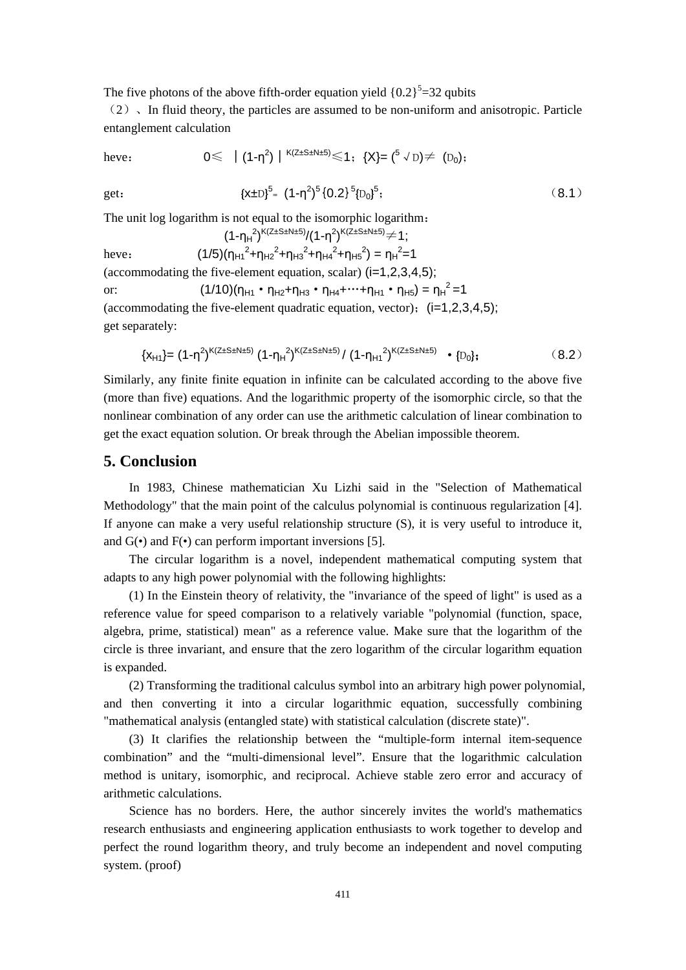The five photons of the above fifth-order equation yield  ${0.2}^5$ =32 qubits

 $(2)$ , In fluid theory, the particles are assumed to be non-uniform and anisotropic. Particle entanglement calculation

heve: 0≤ │(1-η<sup>2</sup> )│K(Z±S±N±5) ≤1;{X}= (<sup>5</sup> √D)≠ (D0);

get:  $\{x\pm D\}^5 = (1-\eta^2)^5 \{0.2\}^5 {\{D_0\}}^5$ 

The unit log logarithm is not equal to the isomorphic logarithm:

 $(1-\eta_H^2)^{K(Z\pm S\pm N\pm 5)}/(1-\eta^2)^{K(Z\pm S\pm N\pm 5)}$ ≠1; heve:  $(1/5)(\eta_{H1}^2 + \eta_{H2}^2 + \eta_{H3}^2 + \eta_{H4}^2 + \eta_{H5}^2) = \eta_H^2 = 1$ (accommodating the five-element equation, scalar)  $(i=1,2,3,4,5)$ ; or:  $(1/10)(\eta_{H1} \cdot \eta_{H2} + \eta_{H3} \cdot \eta_{H4} + \cdots + \eta_{H1} \cdot \eta_{H5}) = \eta_H^2 = 1$ (accommodating the five-element quadratic equation, vector);  $(i=1,2,3,4,5)$ ; get separately:

$$
\{x_{H1}\} = (1 - \eta^2)^{K(Z \pm S \pm N \pm 5)} (1 - \eta_H^2)^{K(Z \pm S \pm N \pm 5)} / (1 - \eta_{H1}^2)^{K(Z \pm S \pm N \pm 5)} \cdot [D_0];
$$
 (8.2)

 $(8.1)$ 

Similarly, any finite finite equation in infinite can be calculated according to the above five (more than five) equations. And the logarithmic property of the isomorphic circle, so that the nonlinear combination of any order can use the arithmetic calculation of linear combination to get the exact equation solution. Or break through the Abelian impossible theorem.

## **5. Conclusion**

 In 1983, Chinese mathematician Xu Lizhi said in the "Selection of Mathematical Methodology" that the main point of the calculus polynomial is continuous regularization [4]. If anyone can make a very useful relationship structure (S), it is very useful to introduce it, and  $G(\bullet)$  and  $F(\bullet)$  can perform important inversions [5].

 The circular logarithm is a novel, independent mathematical computing system that adapts to any high power polynomial with the following highlights:

 (1) In the Einstein theory of relativity, the "invariance of the speed of light" is used as a reference value for speed comparison to a relatively variable "polynomial (function, space, algebra, prime, statistical) mean" as a reference value. Make sure that the logarithm of the circle is three invariant, and ensure that the zero logarithm of the circular logarithm equation is expanded.

 (2) Transforming the traditional calculus symbol into an arbitrary high power polynomial, and then converting it into a circular logarithmic equation, successfully combining "mathematical analysis (entangled state) with statistical calculation (discrete state)".

 (3) It clarifies the relationship between the "multiple-form internal item-sequence combination" and the "multi-dimensional level". Ensure that the logarithmic calculation method is unitary, isomorphic, and reciprocal. Achieve stable zero error and accuracy of arithmetic calculations.

Science has no borders. Here, the author sincerely invites the world's mathematics research enthusiasts and engineering application enthusiasts to work together to develop and perfect the round logarithm theory, and truly become an independent and novel computing system. (proof)